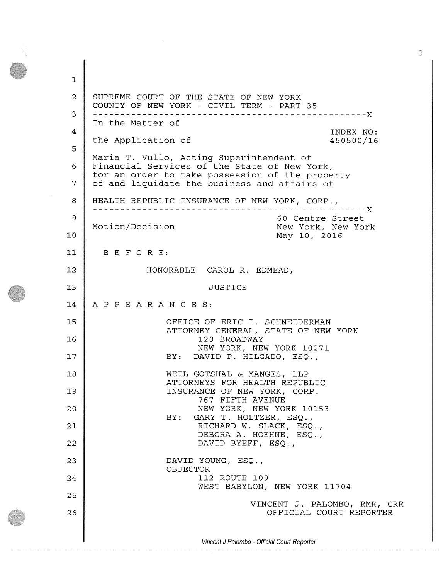1 **2**  3 4 5 6 7 **8**  9 **10**  11 **12**  13 14 15 **16**  17 **18**  19 **20 21 22**  23 24 25 **26**  SUPREME COURT OF THE STATE OF NEW YORK COUNTY OF NEW YORK - CIVIL TERM - PART 35 In the Matter of the Application of X INDEX NO: 450500/16 Maria T. Vullo, Acting Superintendent of Financial Services of the State of New York, for an order to take possession of the property of and liquidate the business and affairs of HEALTH REPUBLIC INSURANCE OF NEW YORK, CORP., x 60 Centre Street Motion/Decision New York, New York May 10, 2016 BEFORE: HONORABLE CAROL R. EDMEAD, JUSTICE APPEARANCES: OFFICE OF ERIC T. SCHNEIDERMAN ATTORNEY GENERAL, STATE OF NEW YORK 120 BROADWAY NEW YORK, NEW YORK 10271 BY: DAVID P. HOLGADO, ESQ., WEIL GOTSHAL & MANGES, LLP ATTORNEYS FOR HEALTH REPUBLIC INSURANCE OF NEW YORK, CORP. 767 FIFTH AVENUE NEW YORK, NEW YORK 10153 BY: GARY T. HOLTZER, ESQ., RICHARD W. SLACK, ESQ., DEBORA A. HOEHNE, ESQ., DAVID BYEFF, ESQ., DAVID YOUNG, ESQ., OBJECTOR 112 ROUTE 109 WEST BABYLON, NEW YORK 11704 VINCENT J. PALOMBO, RMR, CRR OFFICIAL COURT REPORTER

*Vincent J Palombo - Official Court Reporter*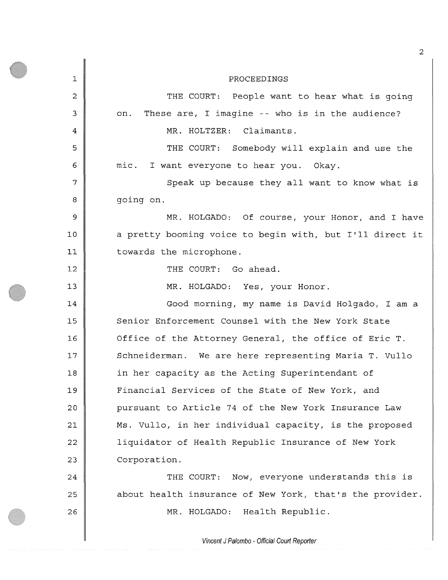1 **2**  3 4 5 **6**  7 **8**  9 **10 11**  12 13 14 15 **16**  17 **18**  19 20 **21 22**  23 24 25 **26**  PROCEEDINGS THE COURT: People want to hear what is going on. These are, I imagine -- who is in the audience? MR. HOLTZER: Claimants. THE COURT: Somebody will explain and use the mic. I want everyone to hear you. Okay. Speak up because they all want to know what is going on. MR. HOLGADO: Of course, your Honor, and I have a pretty booming voice to begin with, but I'll direct it towards the microphone. THE COURT: Go ahead. MR. HOLGADO: Yes, your Honor. Good morning, my name is David Holgado, I am a Senior Enforcement Counsel with the New York State Office of the Attorney General, the office of Eric T. Schneiderman. We are here representing Maria T. Vullo in her capacity as the Acting Superintendant of Financial Services of the State of New York, and pursuant to Article 74 of the New York Insurance Law Ms. Vullo, in her individual capacity, is the proposed liquidator of Health Republic Insurance of New York Corporation. THE COURT: Now, everyone understands this is about health insurance of New York, that's the provider. MR. HOLGADO: Health Republic.

*Vincent J Palombo - Official Court Reporter*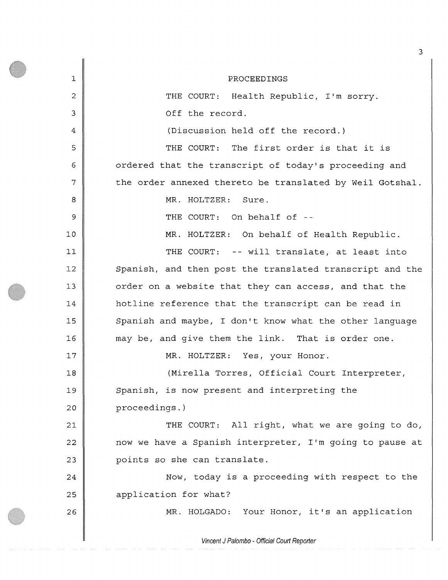1 2 3 4 5 **6**  7 **8**  9 **10 11 12**  13 14 15 **16**  17 **18**  19 20 **21**  22 23 24 25 **26**  PROCEEDINGS THE COURT: Health Republic, I'm sorry. Off the record. (Discussion held off the record.) THE COURT: The first order is that it is ordered that the transcript of today's proceeding and the order annexed thereto be translated by Weil Gotshal. MR. HOLTZER: Sure. THE COURT: On behalf of --MR. HOLTZER: On behalf of Health Republic. THE COURT: -- will translate, at least into Spanish, and then post the translated transcript and the order on a website that they can access, and that the hotline reference that the transcript can be read in Spanish and maybe, I don't know what the other language may be, and give them the link. That is order one. MR. HOLTZER: Yes, your Honor. (Mirella Torres, Official Court Interpreter, Spanish, is now present and interpreting the proceedings.) THE COURT: All right, what we are going to do, now we have a Spanish interpreter, I'm going to pause at points so she can translate. Now, today is a proceeding with respect to the application for what? MR. HOLGADO: Your Honor, it's an application

*Vincent J Palombo - Official Court Reporter*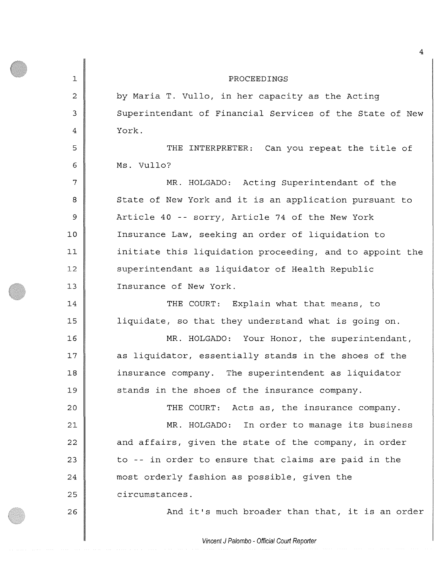PROCEEDINGS by Maria T. Vullo, in her capacity as the Acting Superintendant of Financial Services of the State of New York. THE INTERPRETER: Can you repeat the title of Ms. Vullo? MR. HOLGADO: Acting Superintendant of the State of New York and it is an application pursuant to Article 40 -- sorry, Article 74 of the New York Insurance Law, seeking an order of liquidation to initiate this liquidation proceeding, and to appoint the superintendant as liquidator of Health Republic Insurance of New York. THE COURT: Explain what that means, to liquidate, so that they understand what is going on. MR. HOLGADO: Your Honor, the superintendant, as liquidator, essentially stands in the shoes of the insurance company. The superintendent as liquidator stands in the shoes of the insurance company. THE COURT: Acts as, the insurance company. MR. HOLGADO: In order to manage its business and affairs, given the state of the company, in order

to -- in order to ensure that claims are paid in the most orderly fashion as possible, given the

circumstances.

1

2

3

4

5

6

7

**8** 

9

**10** 

**11** 

**12** 

13

14

15

**16** 

17

**18** 

19

**20** 

**21** 

**22** 

23

24

25

**26** 

And it's much broader than that, it is an order

*Vincent J Palombo - Official Court Reporter*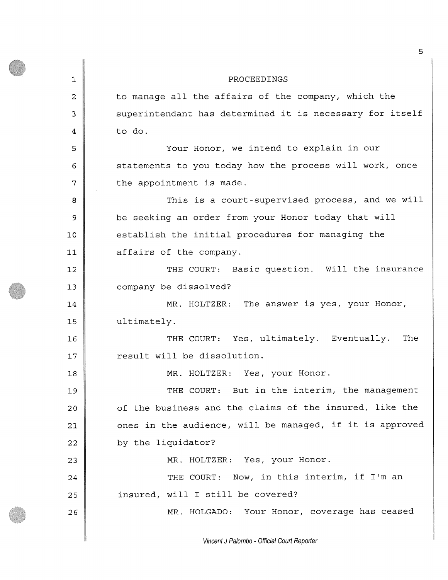1 **2**  3 4 5 6 7 **8**  9 **10 11**  12 13 14 15 **16**  17 **18**  19 20 **21**  22 23 24 25 **26**  PROCEEDINGS to manage all the affairs of the company, which the superintendent has determined it is necessary for itself to do. Your Honor, we intend to explain in our statements to you today how the process will work, once the appointment is made. This is a court-supervised process, and we will be seeking an order from your Honor today that will establish the initial procedures for managing the affairs of the company. THE COURT; Basic guestion. Will the insurance company be dissolved? MR. HOLTZER: The answer is yes, your Honor, ultimately. THE COURT: Yes, ultimately. Eventually. The result will be dissolution. MR. HOLTZER: Yes, your Honor. THE COURT: But in the interim, the management of the business and the claims of the insured, like the ones in the audience, will be managed, if it is approved by the liquidator? MR. HOLTZER: Yes, your Honor. THE COURT: Now, in this interim, if I'm an insured, will I still be covered? MR. HOLGADO: Your Honor, coverage has ceased

*Vincent J Paiombo - Official Court Reporter*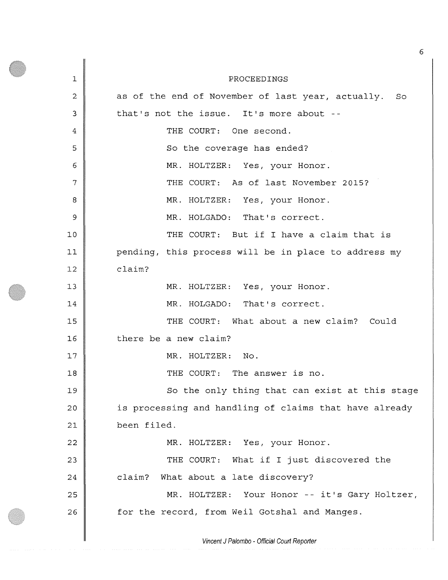1 2 3 4 5 6 7 **8**  9 **10 11**  12 13 14 15 **16**  17 **18**  19 **20 21**  22 23 24 25 **26**  PROCEEDINGS as of the end of November of last year, actually. So that's not the issue. It's more about - THE COURT: One second. So the coverage has ended? MR. HOLTZER: Yes, your Honor. THE COURT: As of last November 2015? MR. HOLTZER: Yes, your Honor. MR. HOLGADO: That's correct. THE COURT: But if I have a claim that is pending, this process will be in place to address my claim? MR. HOLTZER: Yes, your Honor. MR. HOLGADO: That's correct. THE COURT: What about a new claim? Could there be a new claim? MR. HOLTZER: No. THE COURT: The answer is no. So the only thing that can exist at this stage is processing and handling of claims that have already been filed. MR. HOLTZER: Yes, your Honor. THE COURT: What if I just discovered the claim? What about a late discovery? MR. HOLTZER: Your Honor -- it's Gary Holtzer, for the record, from Weil Gotshal and Manges.

*Vincent J Palombo - Official Court Reporter*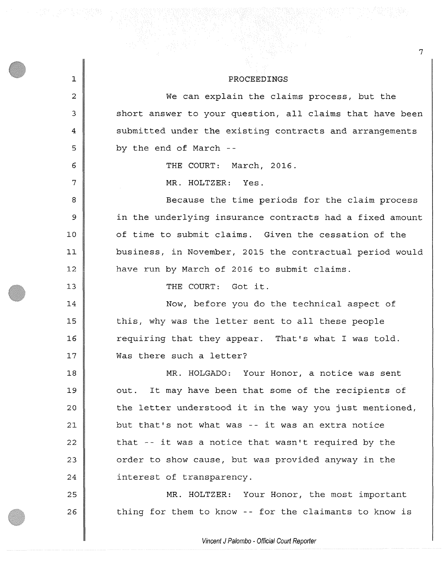## PROCEEDINGS

We can explain the claims process, but the short answer to your question, all claims that have been submitted under the existing contracts and arrangements by the end of March - -

THE COURT: March, 2016.

MR. HOLTZER: Yes.

1

**2** 

3

4

5

6

7

**8** 

9

**10** 

**11** 

12

13

14

15

**16** 

17

25

**26** 

Because the time periods for the claim process in the underlying insurance contracts had a fixed amount of time to submit claims. Given the cessation of the business, in November, 2015 the contractual period would have run by March of 2016 to submit claims.

THE COURT: Got it.

Now, before you do the technical aspect of this, why was the letter sent to all these people requiring that they appear. That's what I was told. Was there such a letter?

**18**  19 **20 21 22**  23 24 MR. HOLGADO: Your Honor, a notice was sent out. It may have been that some of the recipients of the letter understood it in the way you just mentioned, but that's not what was -- it was an extra notice that -- it was a notice that wasn't required by the order to show cause, but was provided anyway in the interest of transparency.

MR. HOLTZER: Your Honor, the most important thing for them to know -- for the claimants to know is

*Vincent J Palombo - Official Court Reporter*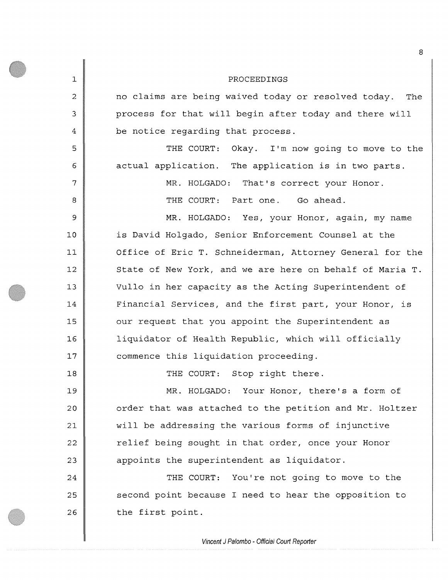| $\mathbf 1$ | PROCEEDINGS                                              |
|-------------|----------------------------------------------------------|
| 2           | no claims are being waived today or resolved today. The  |
| 3           | process for that will begin after today and there will   |
| 4           | be notice regarding that process.                        |
| 5           | THE COURT: Okay. I'm now going to move to the            |
| 6           | actual application. The application is in two parts.     |
| 7           | MR. HOLGADO: That's correct your Honor.                  |
| 8           | THE COURT: Part one. Go ahead.                           |
| 9           | MR. HOLGADO: Yes, your Honor, again, my name             |
| 10          | is David Holgado, Senior Enforcement Counsel at the      |
| 11          | Office of Eric T. Schneiderman, Attorney General for the |
| 12          | State of New York, and we are here on behalf of Maria T. |
| 13          | Vullo in her capacity as the Acting Superintendent of    |
| 14          | Financial Services, and the first part, your Honor, is   |
| 15          | our request that you appoint the Superintendent as       |
| 16          | liquidator of Health Republic, which will officially     |
| 17          | commence this liquidation proceeding.                    |
| 18          | THE COURT: Stop right there.                             |
| 19          | MR. HOLGADO: Your Honor, there's a form of               |
| 20          | order that was attached to the petition and Mr. Holtzer  |
| 21          | will be addressing the various forms of injunctive       |
| 22          | relief being sought in that order, once your Honor       |
| 23          | appoints the superintendent as liquidator.               |
| 24          | You're not going to move to the<br>THE COURT:            |
| 25          | second point because I need to hear the opposition to    |
| 26          | the first point.                                         |
|             | Vincent I Palombo - Official Court Reporter              |

8

*Vincent J Paiombo - Official Court Reporter*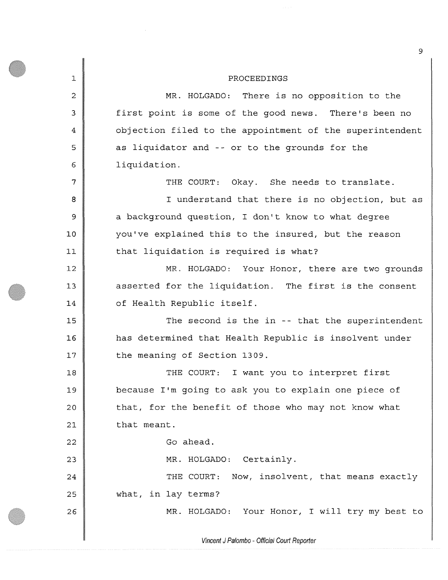1 **2**  3 4 5 **6**  7 **8**  9 **10 11 12**  13 14 15 **16**  17 **18**  19 **20**  21 **22**  23 24 25 **26**  PROCEEDINGS MR. HOLGADO: There is no opposition to the first point is some of the good news. There's been no objection filed to the appointment of the superintendent as liquidator and -- or to the grounds for the liquidation. THE COURT: Okay. She needs to translate. I understand that there is no objection, but as a background question, I don't know to what degree you've explained this to the insured, but the reason that liquidation is required is what? MR. HOLGADO: Your Honor, there are two grounds asserted for the liquidation. The first is the consent of Health Republic itself. The second is the in -- that the superintendent has determined that Health Republic is insolvent under the meaning of Section 1309. THE COURT: I want you to interpret first because I'm going to ask you to explain one piece of that, for the benefit of those who may not know what that meant. Go ahead. MR. HOLGADO: Certainly. THE COURT: Now, insolvent, that means exactly what, in lay terms? MR. HOLGADO: Your Honor, I will try my best to

*Vincent J Palombo - Official Court Reporter*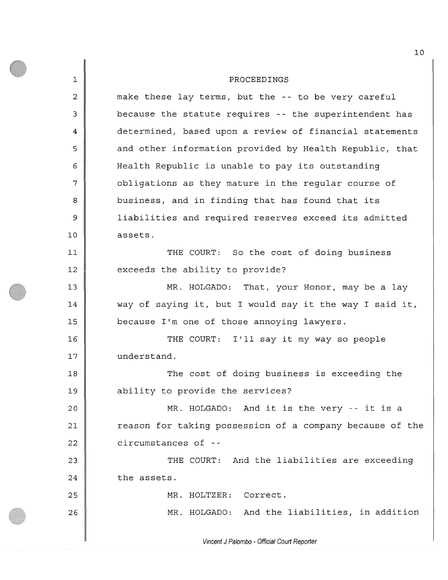1 **2**  3 4 5 6 7 **8**  9 **10 11 12**  13 14 15 **16**  17 **18**  19 **20 21 22**  23 24 25 **26**  PROCEEDINGS make these lay terms, but the -- to be very careful because the statute requires -- the superintendent has determined, based upon a review of financial statements and other information provided by Health Republic, that Health Republic is unable to pay its outstanding obligations as they mature in the regular course of business, and in finding that has found that its liabilities and required reserves exceed its admitted assets. THE COURT: So the cost of doing business exceeds the ability to provide? MR. HOLGADO: That, your Honor, may be a lay way of saying it, but I would say it the way I said it, because I'm one of those annoying lawyers. THE COURT: I'll say it my way so people understand. The cost of doing business is exceeding the ability to provide the services? MR. HOLGADO: And it is the very -- it is a reason for taking possession of a company because of the circumstances of - THE COURT: And the liabilities are exceeding the assets. MR. HOLTZER: Correct. MR. HOLGADO: And the liabilities, in addition

*Vincent J Palombo - Official Court Reporter*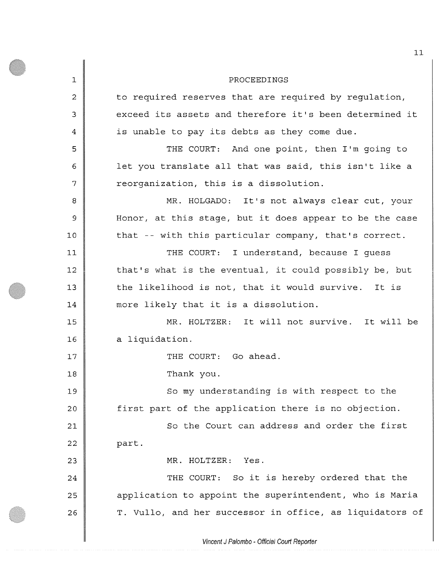**1**  2 3 4 5 6 7 **8**  9 **10**  11 12 13 14 15 **16**  17 **18**  19 20 **21**  22 23 24 25 **26**  PROCEEDINGS to required reserves that are required by regulation, exceed its assets and therefore it's been determined it is unable to pay its debts as they come due. THE COURT: And one point, then I'm going to let you translate all that was said, this isn't like a reorganization, this is a dissolution. MR. HOLGADO: It's not always clear cut, your Honor, at this stage, but it does appear to be the case that -- with this particular company, that's correct. THE COURT: I understand, because I guess that's what is the eventual, it could possibly be, but the likelihood is not, that it would survive. It is more likely that it is a dissolution. MR. HOLTZER: It will not survive. It will be a liquidation. THE COURT: Go ahead. Thank you. So my understanding is with respect to the first part of the application there is no objection. So the Court can address and order the first part. MR. HOLTZER: Yes. THE COURT: So it is hereby ordered that the application to appoint the superintendent, who is Maria T. Vullo, and her successor in office, as liquidators of

*Vincent J Palombo - Official Court Reporter*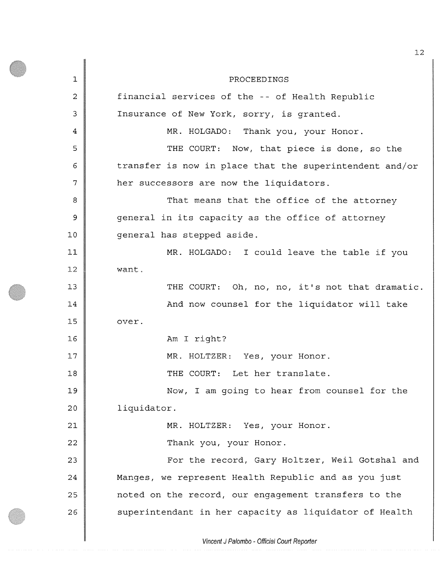1 2 3 4 5 6 7 **8**  9 **10 11**  12 13 14 15 16 17 **18**  19 20 **21 22**  23 24 25 **26**  PROCEEDINGS financial services of the -- of Health Republic Insurance of New York, sorry, is granted. MR. HOLGADO: Thank you, your Honor. THE COURT: Now, that piece is done, so the transfer is now in place that the superintendent and/or her successors are now the liquidators. That means that the office of the attorney general in its capacity as the office of attorney general has stepped aside. MR. HOLGADO: I could leave the table if you want. THE COURT: Oh, no, no, it's not that dramatic. And now counsel for the liquidator will take over. Am I right? MR. HOLTZER: Yes, your Honor. THE COURT: Let her translate. Now, I am going to hear from counsel for the liquidator. MR. HOLTZER: Yes, your Honor. Thank you, your Honor. For the record, Gary Holtzer, Weil Gotshal and Manges, we represent Health Republic and as you just noted on the record, our engagement transfers to the superintendent in her capacity as liquidator of Health

*Vincent* J *Palombo - Official Court Reporter*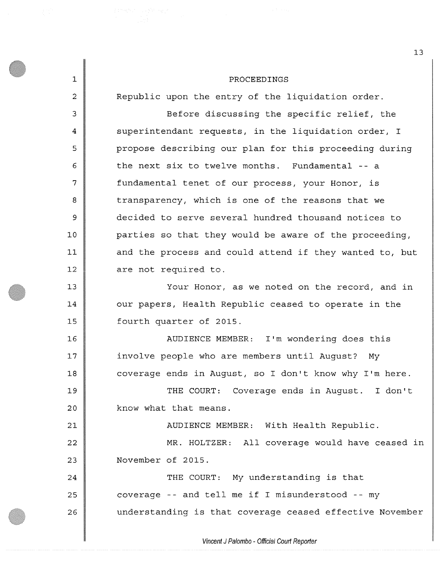| $\mathbf 1$    | PROCEEDINGS                                              |
|----------------|----------------------------------------------------------|
| $\overline{2}$ | Republic upon the entry of the liquidation order.        |
| 3              | Before discussing the specific relief, the               |
| $\overline{4}$ | superintendant requests, in the liquidation order, I     |
| 5              | propose describing our plan for this proceeding during   |
| 6              | the next six to twelve months. Fundamental -- a          |
| 7              | fundamental tenet of our process, your Honor, is         |
| 8              | transparency, which is one of the reasons that we        |
| 9              | decided to serve several hundred thousand notices to     |
| 10             | parties so that they would be aware of the proceeding,   |
| 11             | and the process and could attend if they wanted to, but  |
| 12             | are not required to.                                     |
| 13             | Your Honor, as we noted on the record, and in            |
| 14             | our papers, Health Republic ceased to operate in the     |
| 15             | fourth quarter of 2015.                                  |
| 16             | AUDIENCE MEMBER: I'm wondering does this                 |
| 17             | involve people who are members until August? My          |
| 18             | coverage ends in August, so I don't know why I'm here.   |
| 19             | THE COURT: Coverage ends in August. I don't              |
| 20             | know what that means.                                    |
| 21             | AUDIENCE MEMBER: With Health Republic.                   |
| 22             | MR. HOLTZER: All coverage would have ceased in           |
| 23             | November of 2015.                                        |
| 24             | THE COURT: My understanding is that                      |
| 25             | coverage -- and tell me if I misunderstood -- my         |
| 26             | understanding is that coverage ceased effective November |
|                | Vincent J Palombo - Official Court Reporter              |

*Vincent J Palombo - Official Court Reporter*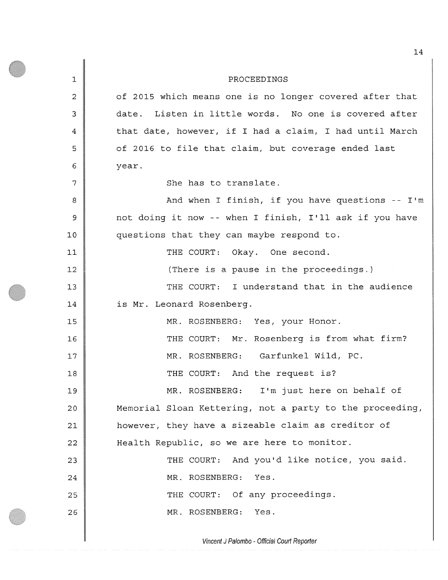1 **2**  3 4 5 6 7 **8**  9 **10 11**  12 13 14 15 **16**  17 **18**  19 20 **21 22**  23 24 25 **26**  PROCEEDINGS of 2015 which means one is no longer covered after that date. Listen in little words. No one is covered after that date, however, if I had a claim, I had until March of 2016 to file that claim, but coverage ended last year. She has to translate. And when I finish, if you have questions -- I'm not doing it now -- when I finish, I'll ask if you have questions that they can maybe respond to. THE COURT: Okay. One second. (There is a pause in the proceedings.) THE COURT: I understand that in the audience is Mr. Leonard Rosenberg. MR. ROSENBERG: Yes, your Honor. THE COURT: Mr. Rosenberg is from what firm? MR. ROSENBERG: Garfunkel Wild, PC. THE COURT: And the request is? MR. ROSENBERG: I'm just here on behalf of Memorial Sloan Kettering, not a party to the proceeding, however, they have a sizeable claim as creditor of Health Republic, so we are here to monitor. THE COURT: And you'd like notice, you said. MR. ROSENBERG: Yes. THE COURT: Of any proceedings. MR. ROSENBERG: Yes.

*Vincent J Palombo - Official Court Reporter*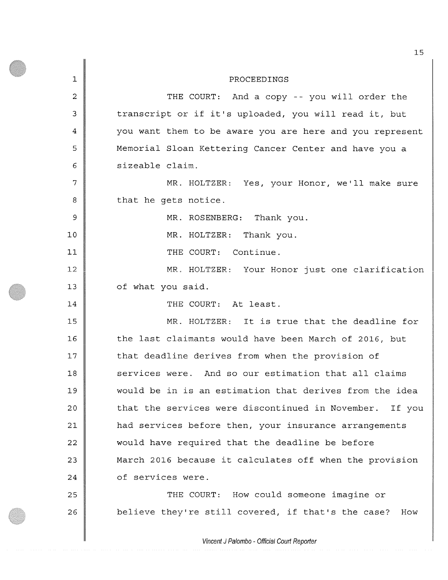1 2 3 4 5 **6**  7 **8**  9 **10**  11 **12**  13 14 15 **16**  17 **18**  19 20 **21**  22 23 24 25 26 PROCEEDINGS THE COURT: And a copy -- you will order the transcript or if it's uploaded, you will read it, but you want them to be aware you are here and you represent Memorial Sloan Kettering Cancer Center and have you a sizeable claim. MR. HOLTZER: Yes, your Honor, we'll make sure that he gets notice. MR. ROSENBERG: Thank you. MR. HOLTZER: Thank you. THE COURT: Continue. MR. HOLTZER: Your Honor just one clarification of what you said. THE COURT: At least. MR. HOLTZER: It is true that the deadline for the last claimants would have been March of 2016, but that deadline derives from when the provision of services were. And so our estimation that all claims would be in is an estimation that derives from the idea that the services were discontinued in November. If you had services before then, your insurance arrangements would have required that the deadline be before March 2016 because it calculates off when the provision of services were. THE COURT: How could someone imagine or believe they're still covered, if that's the case? How

*Vincent J Palombo - Official Court Reporter*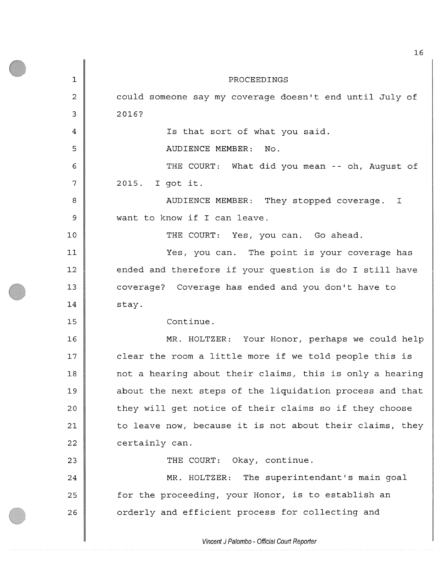**1**  2 3 4 5 6 7 **8**  9 **10 11**  12 13 14 15 **16**  17 **18**  19 **20 21**  22 23 24 25 26 PROCEEDINGS could someone say my coverage doesn't end until July of **2016?**  Is that sort of what you said. AUDIENCE MEMBER: No. THE COURT: What did you mean -- oh, August of 2015. I got it. AUDIENCE MEMBER: They stopped coverage. I want to know if I can leave. THE COURT: Yes, you can. Go ahead. Yes, you can. The point is your coverage has ended and therefore if your question is do I still have coverage? Coverage has ended and you don't have to stay. Continue. MR. HOLTZER: Your Honor, perhaps we could help clear the room a little more if we told people this is not a hearing about their claims, this is only a hearing about the next steps of the liquidation process and that they will get notice of their claims so if they choose to leave now, because it is not about their claims, they certainly can. THE COURT: Okay, continue. MR. HOLTZER: The superintendant's main goal for the proceeding, your Honor, is to establish an orderly and efficient process for collecting and

*Vincent* J *Palombo - Official Court Reporter*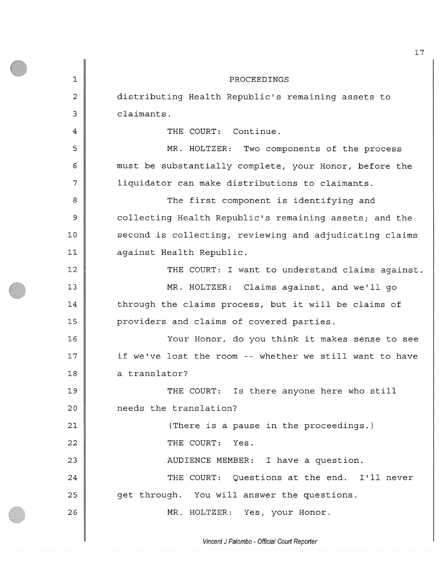1 2 3 4 5 6 7 **8**  9 **10**  11 12 13 14 15 **16**  17 **18**  19 20 **21 22**  23 24 25 26 PROCEEDINGS distributing Health Republic's remaining assets to claimants. THE COURT: Continue. MR. HOLTZER: Two components of the process must be substantially complete, your Honor, before the liquidator can make distributions to claimants. The first component is identifying and collecting Health Republic's remaining assets; and the second is collecting, reviewing and adjudicating claims against Health Republic. THE COURT: I want to understand claims against. MR. HOLTZER: Claims against, and we'll go through the claims process, but it will be claims of providers and claims of covered parties. Your Honor, do you think it makes sense to see if we've lost the room -- whether we still want to have a translator? THE COURT: Is there anyone here who still needs the translation? (There is a pause in the proceedings.) THE COURT: Yes. AUDIENCE MEMBER: I have a question. THE COURT: Questions at the end. I'll never get through. You will answer the questions. MR. HOLTZER: Yes, your Honor.

*Vincent J Palombo - Official Court Reporter*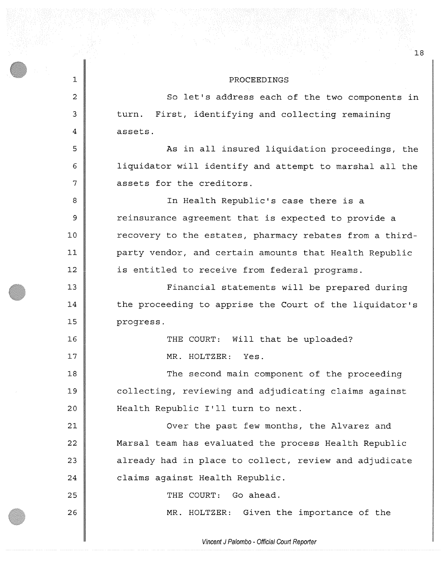## PROCEEDINGS

**1 2**  3 4 5 6 7 **8**  9 **10 11 12**  13 14 15 **16**  17 **18**  19 **20 21 22**  23 24 25 26 So let's address each of the two components in turn. First, identifying and collecting remaining assets. As in all insured liquidation proceedings, the liquidator will identify and attempt to marshal all the assets for the creditors. In Health Republic's case there is a reinsurance agreement that is expected to provide a recovery to the estates, pharmacy rebates from a thirdparty vendor, and certain amounts that Health Republic is entitled to receive from federal programs. Financial statements will be prepared during the proceeding to apprise the Court of the liquidator's progress. THE COURT: Will that be uploaded? MR. HOLTZER: Yes. The second main component of the proceeding collecting, reviewing and adjudicating claims against Health Republic I'll turn to next. Over the past few months, the Alvarez and Marsal team has evaluated the process Health Republic already had in place to collect, review and adjudicate claims against Health Republic. THE COURT: Go ahead. MR. HOLTZER: Given the importance of the

*Vincent J Palombo - Official Court Reporter*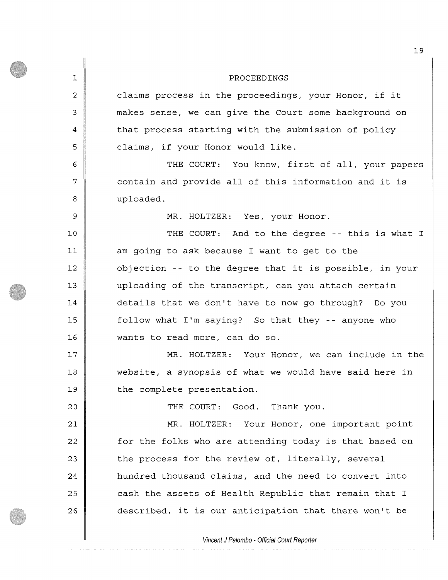1 2 3 4 5 **6**  7 **8**  9 **10 11 12**  13 14 15 **16**  17 **18**  19 **20 21 22**  23 24 2 5 **26**  PROCEEDINGS claims process in the proceedings, your Honor, if it makes sense, we can give the Court some background on that process starting with the submission of policy claims, if your Honor would like. THE COURT: You know, first of all, your papers contain and provide all of this information and it is uploaded. MR. HOLTZER: Yes, your Honor. THE COURT: And to the degree -- this is what I am going to ask because I want to get to the objection -- to the degree that it is possible, in your uploading of the transcript, can you attach certain details that we don't have to now go through? Do you follow what I'm saying? So that they -- anyone who wants to read more, can do so. MR. HOLTZER: Your Honor, we can include in the website, a synopsis of what we would have said here in the complete presentation. THE COURT: Good. Thank you. MR. HOLTZER: Your Honor, one important point for the folks who are attending today is that based on the process for the review of, literally, several hundred thousand claims, and the need to convert into cash the assets of Health Republic that remain that I described, it is our anticipation that there won't be

*Vincent J Palombo - Official Court Reporter*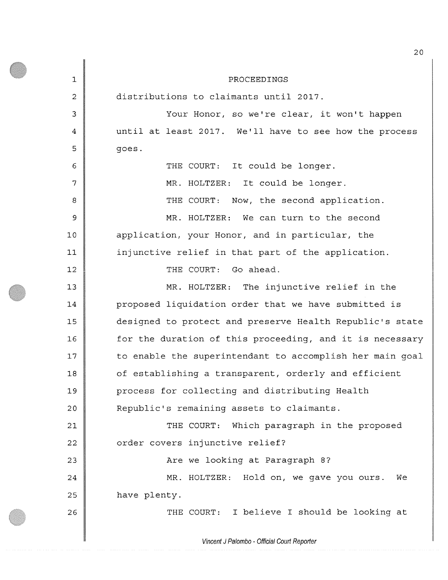1 **2**  3 4 5 6 7 **8**  9 10 **11**  12 13 14 15 **16**  17 **18**  19 20 **21 22**  23 24 25 **26**  PROCEEDINGS distributions to claimants until 2017. Your Honor, so we're clear, it won't happen until at least 2017. We'll have to see how the process goes . THE COURT: It could be longer. MR. HOLTZER: It could be longer. THE COURT: Now, the second application. MR. HOLTZER: We can turn to the second application, your Honor, and in particular, the injunctive relief in that part of the application. THE COURT: Go ahead. MR. HOLTZER: The injunctive relief in the proposed liquidation order that we have submitted is designed to protect and preserve Health Republic's state for the duration of this proceeding, and it is necessary to enable the superintendent to accomplish her main goal of establishing a transparent, orderly and efficient process for collecting and distributing Health Republic's remaining assets to claimants. THE COURT: Which paragraph in the proposed order covers injunctive relief? Are we looking at Paragraph 8? MR. HOLTZER: Hold on, we gave you ours. We have plenty. THE COURT: I believe I should be looking at

*Vincent J Palombo - Official Court Reporter*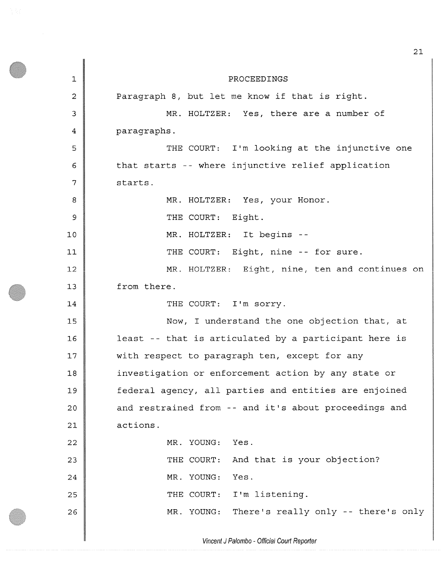1 **2**  3 4 5 **6**  7 8 9 **10 11**  12 13 14 15 **16**  17 **18**  19 20 **21 22**  23 24 25 **26**  PROCEEDINGS Paragraph 8, but let me know if that is right. MR. HOLTZER: Yes, there are a number of paragraphs. THE COURT: I'm looking at the injunctive one that starts -- where injunctive relief application starts. MR. HOLTZER: Yes, your Honor. THE COURT: Eight. MR. HOLTZER: It begins - THE COURT: Eight, nine -- for sure. MR. HOLTZER: Eight, nine, ten and continues on from there. THE COURT: I'm sorry. Now, I understand the one objection that, at least -- that is articulated by a participant here is with respect to paragraph ten, except for any investigation or enforcement action by any state or federal agency, all parties and entities are enjoined and restrained from -- and it's about proceedings and actions. MR. YOUNG THE COURT: And that is your objection? MR. YOUNG THE COURT: I'm listening. MR. YOUNG Yes . Yes. There's really only -- there's only

*Vincent J Palombo - Official Court Reporter*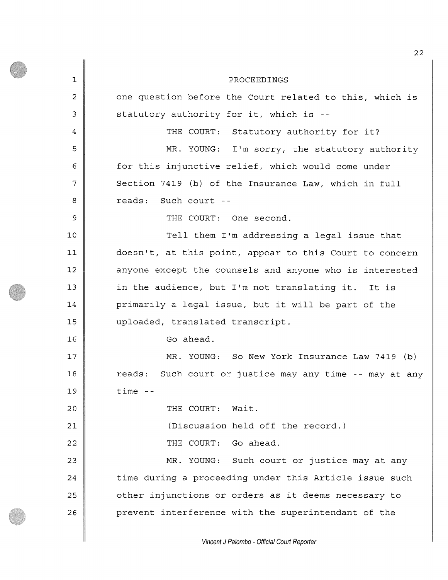1 **2**  3 4 5 6 7 **8**  9 **10**  11 12 13 14 15 **16**  17 **18**  19 **20 21 22**  23 24 25 **26**  PROCEEDINGS one question before the Court related to this, which is statutory authority for it, which is - THE COURT: Statutory authority for it? MR. YOUNG: I'm sorry, the statutory authority for this injunctive relief, which would come under Section 7419 (b) of the Insurance Law, which in full reads: Such court - - THE COURT: One second. Tell them I'm addressing a legal issue that doesn't, at this point, appear to this Court to concern anyone except the counsels and anyone who is interested in the audience, but I'm not translating it. It is primarily a legal issue, but it will be part of the uploaded, translated transcript. Go ahead. MR. YOUNG: So New York Insurance Law 7419 (b) reads: Such court or justice may any time -- may at any time - THE COURT: Wait. (Discussion held off the record.) THE COURT: Go ahead. MR. YOUNG: Such court or justice may at any time during a proceeding under this Article issue such other injunctions or orders as it deems necessary to prevent interference with the superintendant of the

*Vincent J Patombo - Official Court Reporter*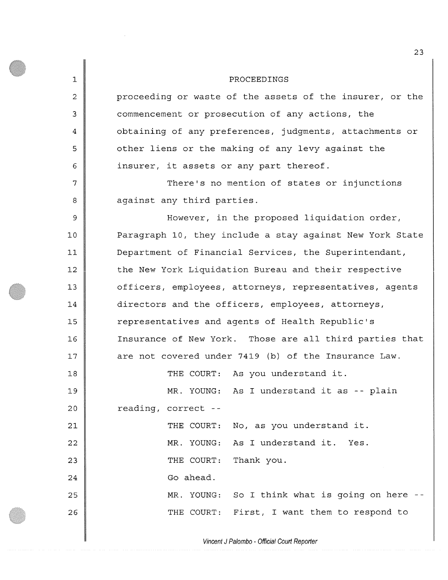**1**  2 3 4 5 **6**  7 **8**  9 **10 11**  12 13 14 15 **16**  17 **18**  19 20 **21 22**  23 24 25 26 PROCEEDINGS proceeding or waste of the assets of the insurer, or the commencement or prosecution of any actions, the obtaining of any preferences, judgments, attachments or other liens or the making of any levy against the insurer, it assets or any part thereof. There's no mention of states or injunctions against any third parties. However, in the proposed liquidation order, Paragraph 10, they include a stay against New York State Department of Financial Services, the Superintendant, the New York Liquidation Bureau and their respective officers, employees, attorneys, representatives, agents directors and the officers, employees, attorneys, representatives and agents of Health Republic's Insurance of New York. Those are all third parties that are not covered under 7419 (b) of the Insurance Law. THE COURT: As you understand it. MR. YOUNG: As I understand it as -- plain reading, correct - THE COURT: No, as you understand it. MR. YOUNG: As I understand it. Yes. THE COURT: Thank you. Go ahead. MR. YOUNG: So I think what is going on here - THE COURT: First, I want them to respond to

*Vincent J Palombo - Official Court Reporter*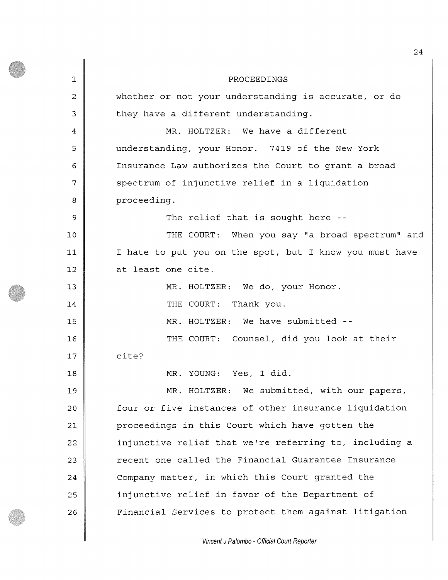**1**  2 3 4 5 6 7 **8**  9 **10 11**  12 13 14 15 **16**  17 **18**  19 **20 21**  22 23 24 25 26 PROCEEDINGS whether or not your understanding is accurate, or do they have a different understanding. MR. HOLTZER: We have a different understanding, your Honor. 7419 of the New York Insurance Law authorizes the Court to grant a broad spectrum of injunctive relief in a liquidation proceeding. The relief that is sought here --THE COURT: When you say "a broad spectrum" and I hate to put you on the spot, but I know you must have at least one cite. MR. HOLTZER: We do, your Honor. THE COURT: Thank you. MR. HOLTZER: We have submitted --THE COURT: Counsel, did you look at their cite? MR. YOUNG: Yes, I did. MR. HOLTZER: We submitted, with our papers, four or five instances of other insurance liquidation proceedings in this Court which have gotten the injunctive relief that we're referring to, including a recent one called the Financial Guarantee Insurance Company matter, in which this Court granted the injunctive relief in favor of the Department of Financial Services to protect them against litigation

*Vincent J Palombo - Official Court Reporter*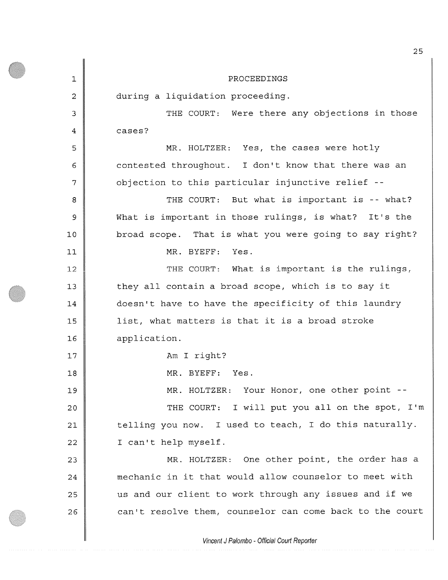1 **2**  3 4 5 6 7 **8**  9 **10 11**  12 13 14 15 **16**  17 **18**  19 **20 21**  22 23 24 25 **26**  PROCEEDINGS during a liquidation proceeding. THE COURT: Were there any objections in those cases? MR. HOLTZER: Yes, the cases were hotly contested throughout. I don't know that there was an objection to this particular injunctive relief - THE COURT: But what is important is -- what? What is important in those rulings, is what? It's the broad scope. That is what you were going to say right? MR. BYEFF: Yes. THE COURT: What is important is the rulings, they all contain a broad scope, which is to say it doesn't have to have the specificity of this laundry list, what matters is that it is a broad stroke application. Am I right? MR. BYEFF: Yes. MR. HOLTZER: Your Honor, one other point --THE COURT: I will put you all on the spot, I'm telling you now. I used to teach, I do this naturally. I can't help myself. MR. HOLTZER: One other point, the order has a mechanic in it that would allow counselor to meet with us and our client to work through any issues and if we can't resolve them, counselor can come back to the court

*Vincent J Palombo - Official Court Reporter*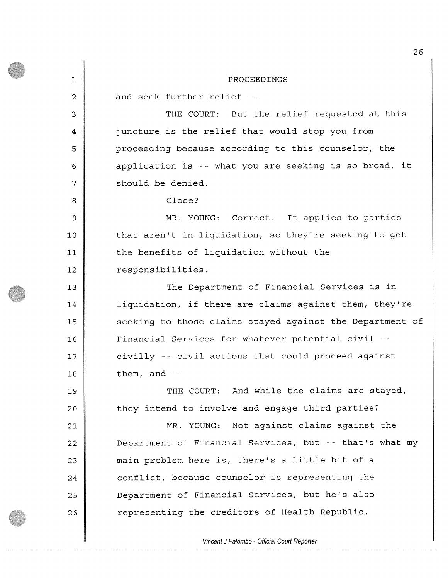**1 2**  3 4 5 **6**  7 **8**  9 **10 11 12**  13 14 15 **16**  17 **18**  19 20 **21 22**  23 24 25 **26**  PROCEEDINGS and seek further relief - THE COURT: But the relief requested at this juncture is the relief that would stop you from proceeding because according to this counselor, the application is -- what you are seeking is so broad, it should be denied. Close? MR. YOUNG: Correct. It applies to parties that aren't in liquidation, so they're seeking to get the benefits of liquidation without the responsibilities. The Department of Financial Services is in liquidation, if there are claims against them, they're seeking to those claims stayed against the Department of Financial Services for whatever potential civil civilly -- civil actions that could proceed against them, and  $-$ THE COURT: And while the claims are stayed, they intend to involve and engage third parties? MR. YOUNG: Not against claims against the Department of Financial Services, but -- that's what my main problem here is, there's a little bit of a conflict, because counselor is representing the Department of Financial Services, but he's also representing the creditors of Health Republic.

*Vincent J Palombo - Official Court Reporter*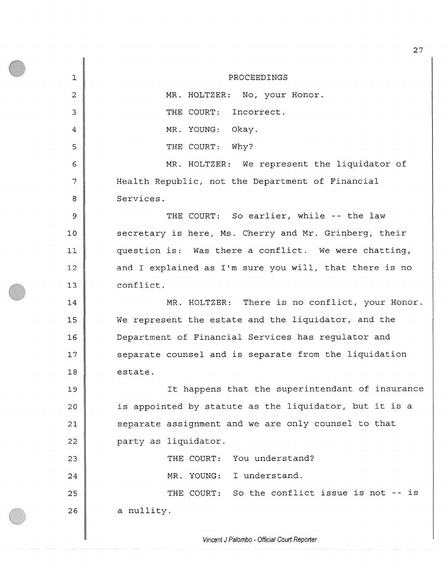1 **2**  3 4 5 6 7 **8**  9 **10 11**  12 13 14 15 **16**  17 **18**  19 20 **21 22**  23 24 25 **26**  PROCEEDINGS MR. HOLTZER: No, your Honor. THE COURT: Incorrect. MR. YOUNG: Okay. THE COURT: Why? MR. HOLTZER: We represent the liquidator of Health Republic, not the Department of Financial Services. THE COURT: So earlier, while -- the law secretary is here, Ms. Cherry and Mr. Grinberg, their question is: Was there a conflict. We were chatting, and I explained as I'm sure you will, that there is no conflict. MR. HOLTZER: There is no conflict, your Honor. We represent the estate and the liquidator, and the Department of Financial Services has regulator and separate counsel and is separate from the liquidation estate. It happens that the superintendant of insurance is appointed by statute as the liquidator, but it is a separate assignment and we are only counsel to that party as liquidator. THE COURT: You understand? MR. YOUNG: I understand. THE COURT: So the conflict issue is not -- is a nullity.

*Vincent J Palombo - Official Court Reporter*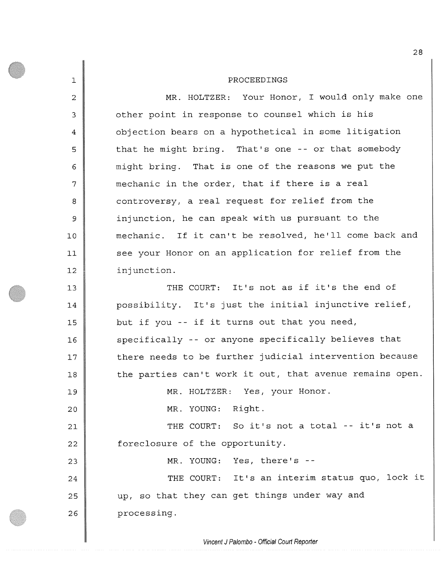**1 2**  3 4 5 6 7 **8**  9 **10 11 12**  13 14 15 **16**  17 **18**  19 20 21 **22**  23 24 25 **26**  PROCEEDINGS MR. HOLTZER: Your Honor, I would only make one other point in response to counsel which is his objection bears on a hypothetical in some litigation that he might bring. That's one -- or that somebody might bring. That is one of the reasons we put the mechanic in the order, that if there is a real controversy, a real request for relief from the injunction, he can speak with us pursuant to the mechanic. If it can't be resolved, he'll come back and see your Honor on an application for relief from the inj unction. THE COURT: It's not as if it's the end of possibility. It's just the initial injunctive relief, but if you -- if it turns out that you need, specifically -- or anyone specifically believes that there needs to be further judicial intervention because the parties can't work it out, that avenue remains open. MR. HOLTZER: Yes, your Honor. MR. YOUNG: Right. THE COURT: So it's not a total -- it's not a foreclosure of the opportunity. MR. YOUNG: Yes, there's - THE COURT: It's an interim status quo, lock it up, so that they can get things under way and processing.

*Vincent J Palombo - Official Court Reporter*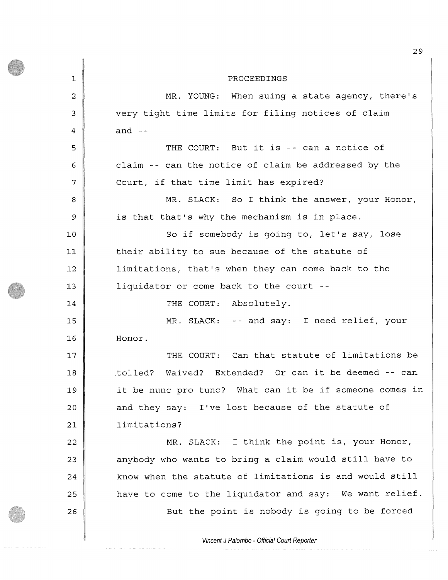| $\mathbf 1$    | PROCEEDINGS                                             |
|----------------|---------------------------------------------------------|
| $\overline{c}$ | MR. YOUNG: When suing a state agency, there's           |
| 3              | very tight time limits for filing notices of claim      |
| 4              | and $-$                                                 |
| 5              | THE COURT: But it is -- can a notice of                 |
| 6              | claim -- can the notice of claim be addressed by the    |
| 7              | Court, if that time limit has expired?                  |
| 8              | MR. SLACK: So I think the answer, your Honor,           |
| $\mathsf 9$    | is that that's why the mechanism is in place.           |
| 10             | So if somebody is going to, let's say, lose             |
| 11             | their ability to sue because of the statute of          |
| 12             | limitations, that's when they can come back to the      |
| 13             | liquidator or come back to the court --                 |
| 14             | THE COURT: Absolutely.                                  |
| 15             | MR. SLACK: -- and say: I need relief, your              |
| 16             | Honor.                                                  |
| 17             | THE COURT: Can that statute of limitations be           |
| 18             | Waived? Extended? Or can it be deemed -- can<br>tolled? |
| 19             | it be nunc pro tunc? What can it be if someone comes in |
| 20             | and they say: I've lost because of the statute of       |
| 21             | limitations?                                            |
| 22             | MR. SLACK: I think the point is, your Honor,            |
| 23             | anybody who wants to bring a claim would still have to  |
| 24             | know when the statute of limitations is and would still |
| 25             | have to come to the liquidator and say: We want relief. |
| 26             | But the point is nobody is going to be forced           |

*Vincent J Palombo - Official Court Reporter*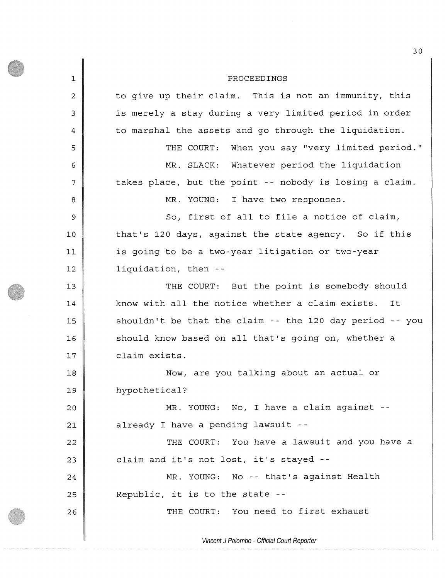1 **2**  3 4 5 **6**  7 **8**  9 **10 11**  12 13 14 15 **16**  17 **18**  19 20 **21**  22 23 24 25 26 PROCEEDINGS to give up their claim. This is not an immunity, this is merely a stay during a very limited period in order to marshal the assets and go through the liquidation. THE COURT: When you say "very limited period." MR. SLACK: Whatever period the liquidation takes place, but the point -- nobody is losing a claim. MR. YOUNG: I have two responses. So, first of all to file a notice of claim, that's 120 days, against the state agency. So if this is going to be a two-year litigation or two-year liquidation, then - THE COURT: But the point is somebody should know with all the notice whether a claim exists. It shouldn't be that the claim -- the 120 day period -- you should know based on all that's going on, whether a claim exists. Now, are you talking about an actual or hypothetical? MR. YOUNG: No, I have a claim against already I have a pending lawsuit - THE COURT: You have a lawsuit and you have a claim and it's not lost, it's stayed - MR. YOUNG: No -- that's against Health Republic, it is to the state - THE COURT: You need to first exhaust

*Vincent J Palombo - Official Court Reporter*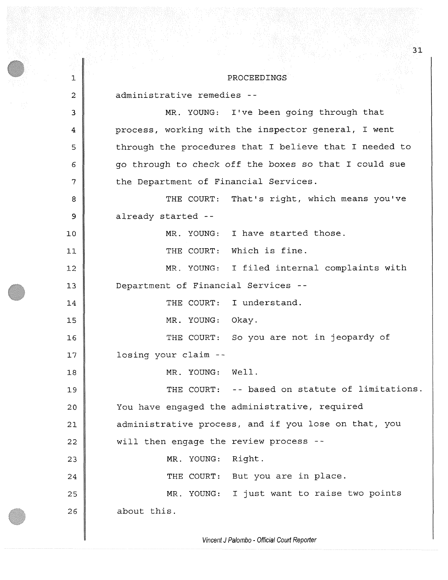1 **2**  3 4 5 **6**  7 **8**  9 **10 11 12**  13 14 15 **16**  17 **18**  19 **20 21 22**  23 24 25 **26**  PROCEEDINGS administrative remedies - MR. YOUNG: I've been going through that process, working with the inspector general, I went through the procedures that I believe that I needed to go through to check off the boxes so that I could sue the Department of Financial Services. THE COURT: That's right, which means you've already started - MR. YOUNG: I have started those. THE COURT: Which is fine. MR. YOUNG: I filed internal complaints with Department of Financial Services - THE COURT: I understand. MR. YOUNG: Okay. THE COURT: So you are not in jeopardy of losing your claim - MR. YOUNG: Well. THE COURT: -- based on statute of limitations. You have engaged the administrative, required administrative process, and if you lose on that, you will then engage the review process - MR. YOUNG: Right. THE COURT: But you are in place. MR. YOUNG: I just want to raise two points about this.

31

*Vincent J Palombo - Official Court Reporter*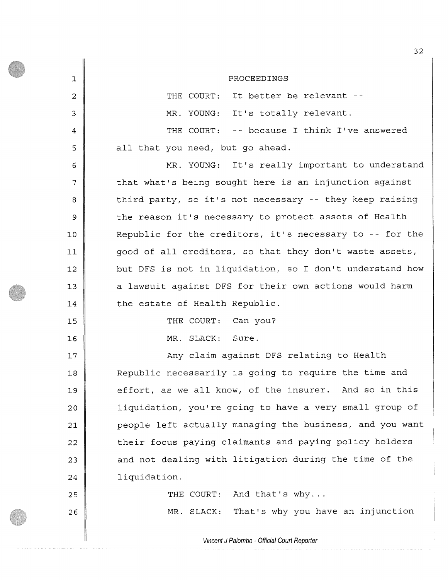| $\mathbf 1$    | PROCEEDINGS                                              |
|----------------|----------------------------------------------------------|
| 2              | THE COURT: It better be relevant --                      |
| 3              | MR. YOUNG: It's totally relevant.                        |
| $\overline{4}$ | THE COURT: -- because I think I've answered              |
| 5              | all that you need, but go ahead.                         |
| 6              | MR. YOUNG: It's really important to understand           |
| 7              | that what's being sought here is an injunction against   |
| 8              | third party, so it's not necessary -- they keep raising  |
| 9              | the reason it's necessary to protect assets of Health    |
| 10             | Republic for the creditors, it's necessary to -- for the |
| 11             | good of all creditors, so that they don't waste assets,  |
| 12             | but DFS is not in liquidation, so I don't understand how |
| 13             | a lawsuit against DFS for their own actions would harm   |
| 14             | the estate of Health Republic.                           |
| 15             | THE COURT: Can you?                                      |
| 16             | MR. SLACK: Sure.                                         |
| 17             | Any claim against DFS relating to Health                 |
| 18             | Republic necessarily is going to require the time and    |
| 19             | effort, as we all know, of the insurer. And so in this   |
| 20             | liquidation, you're going to have a very small group of  |
| 21             | people left actually managing the business, and you want |
| 22             | their focus paying claimants and paying policy holders   |
| 23             | and not dealing with litigation during the time of the   |
| 24             | liquidation.                                             |
| 25             | And that's why<br>THE COURT:                             |
| 26             | That's why you have an injunction<br>MR. SLACK:          |

*Vincent J Palombo - Official Court Reporter* 

┃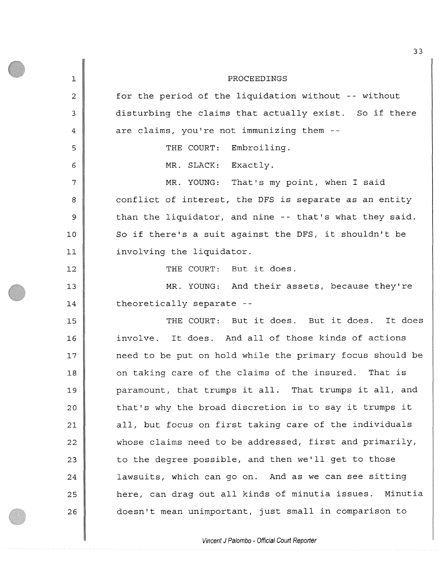1 **2**  3 4 5 6 7 **8**  9 **10 11**  12 13 14 15 **16**  17 **18**  19 20 21 22 23 24 25 **26**  PROCEEDINGS for the period of the liquidation without -- without disturbing the claims that actually exist. So if there are claims, you're not immunizing them - THE COURT: Embroiling. MR. SLACK: Exactly. MR. YOUNG: That's my point, when I said conflict of interest, the DFS is separate as an entity than the liquidator, and nine -- that's what they said. So if there's a suit against the DFS, it shouldn't be involving the liquidator. THE COURT: But it does. MR. YOUNG: And their assets, because they're theoretically separate - THE COURT: But it does. But it does. It does involve. It does. And all of those kinds of actions need to be put on hold while the primary focus should be on taking care of the claims of the insured. That is paramount, that trumps it all. That trumps it all, and that's why the broad discretion is to say it trumps it all, but focus on first taking care of the individuals whose claims need to be addressed, first and primarily, to the degree possible, and then we'll get to those lawsuits, which can go on. And as we can see sitting here, can drag out all kinds of minutia issues. Minutia doesn't mean unimportant, just small in comparison to

*Vincent J Palombo - Official Court Reporter*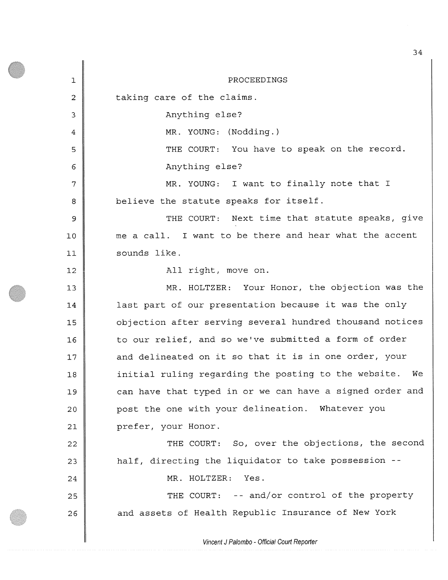**1**  2 3 4 5 6 7 **8**  9 **10 11 12**  13 14 15 **16**  17 **18**  19 20 **21 22**  23 24 25 **26**  PROCEEDINGS taking care of the claims. Anything else? MR. YOUNG: (Nodding.) THE COURT: You have to speak on the record. Anything else? MR. YOUNG: I want to finally note that I believe the statute speaks for itself. THE COURT: Next time that statute speaks, give me a call. I want to be there and hear what the accent sounds like. All right, move on. MR. HOLTZER: Your Honor, the objection was the last part of our presentation because it was the only objection after serving several hundred thousand notices to our relief, and so we've submitted a form of order and delineated on it so that it is in one order, your initial ruling regarding the posting to the website. We can have that typed in or we can have a signed order and post the one with your delineation. Whatever you prefer, your Honor. THE COURT: So, over the objections, the second half, directing the liquidator to take possession - MR. HOLTZER: Yes. THE COURT: -- and/or control of the property and assets of Health Republic Insurance of New York

34

*Vincent J Palombo - Official Court Reporter*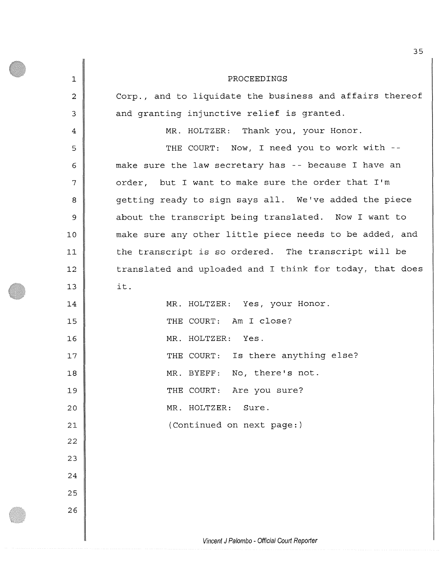| $\mathbf{1}$   | PROCEEDINGS                                              |
|----------------|----------------------------------------------------------|
| $\overline{2}$ | Corp., and to liquidate the business and affairs thereof |
| 3              | and granting injunctive relief is granted.               |
| 4              | MR. HOLTZER: Thank you, your Honor.                      |
| 5              | THE COURT: Now, I need you to work with --               |
| 6              | make sure the law secretary has -- because I have an     |
| 7              | order, but I want to make sure the order that I'm        |
| 8              | getting ready to sign says all. We've added the piece    |
| 9              | about the transcript being translated. Now I want to     |
| 10             | make sure any other little piece needs to be added, and  |
| 11             | the transcript is so ordered. The transcript will be     |
| 12             | translated and uploaded and I think for today, that does |
| 13             | it.                                                      |
| 14             | MR. HOLTZER: Yes, your Honor.                            |
| 15             | THE COURT: Am I close?                                   |
| 16             | MR. HOLTZER: Yes.                                        |
| 17             | THE COURT: Is there anything else?                       |
| 18             | MR. BYEFF: No, there's not.                              |
| 19             | THE COURT: Are you sure?                                 |
| 20             | MR. HOLTZER:<br>Sure.                                    |
| 21             | (Continued on next page:)                                |
| 22             |                                                          |
| 23             |                                                          |
| 24             |                                                          |
| 25             |                                                          |
| 26             |                                                          |
|                |                                                          |
|                | Vincent J Palombo - Official Court Reporter              |

*Vincent J Palombo - Official Court Reporter*